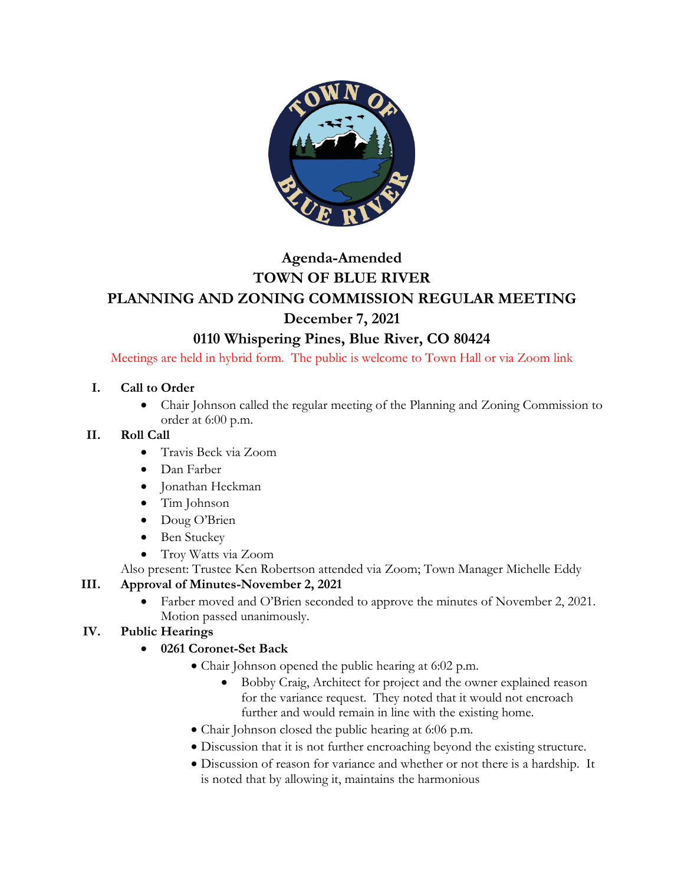

# **Agenda-Amended TOWN OF BLUE RIVER PLANNING AND ZONING COMMISSION REGULAR MEETING December 7, 2021**

# **0110 Whispering Pines, Blue River, CO 80424**

Meetings are held in hybrid form. The public is welcome to Town Hall or via Zoom link

#### **I. Call to Order**

• Chair Johnson called the regular meeting of the Planning and Zoning Commission to order at 6:00 p.m.

#### **II. Roll Call**

- Travis Beck via Zoom
- Dan Farber
- Jonathan Heckman
- Tim Johnson
- Doug O'Brien
- Ben Stuckey
- Troy Watts via Zoom
- Also present: Trustee Ken Robertson attended via Zoom; Town Manager Michelle Eddy

## **III. Approval of Minutes-November 2, 2021**

• Farber moved and O'Brien seconded to approve the minutes of November 2, 2021. Motion passed unanimously.

## **IV. Public Hearings**

- **0261 Coronet-Set Back**
	- Chair Johnson opened the public hearing at 6:02 p.m.
		- Bobby Craig, Architect for project and the owner explained reason for the variance request. They noted that it would not encroach further and would remain in line with the existing home.
	- Chair Johnson closed the public hearing at 6:06 p.m.
	- Discussion that it is not further encroaching beyond the existing structure.
	- Discussion of reason for variance and whether or not there is a hardship. It is noted that by allowing it, maintains the harmonious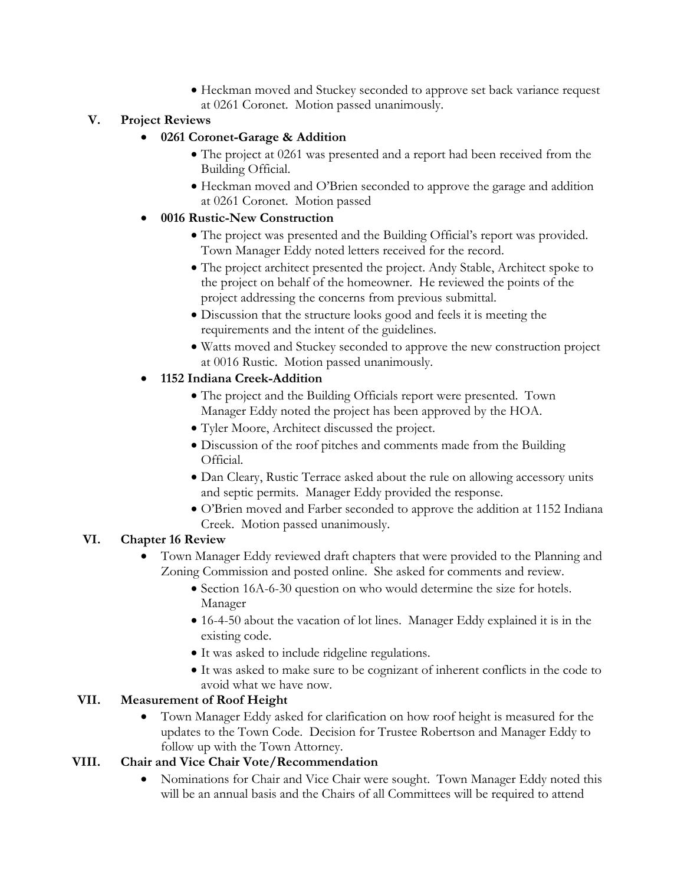• Heckman moved and Stuckey seconded to approve set back variance request at 0261 Coronet. Motion passed unanimously.

#### **V. Project Reviews**

#### • **0261 Coronet-Garage & Addition**

- The project at 0261 was presented and a report had been received from the Building Official.
- Heckman moved and O'Brien seconded to approve the garage and addition at 0261 Coronet. Motion passed

#### • **0016 Rustic-New Construction**

- The project was presented and the Building Official's report was provided. Town Manager Eddy noted letters received for the record.
- The project architect presented the project. Andy Stable, Architect spoke to the project on behalf of the homeowner. He reviewed the points of the project addressing the concerns from previous submittal.
- Discussion that the structure looks good and feels it is meeting the requirements and the intent of the guidelines.
- Watts moved and Stuckey seconded to approve the new construction project at 0016 Rustic. Motion passed unanimously.

#### • **1152 Indiana Creek-Addition**

- The project and the Building Officials report were presented. Town Manager Eddy noted the project has been approved by the HOA.
- Tyler Moore, Architect discussed the project.
- Discussion of the roof pitches and comments made from the Building Official.
- Dan Cleary, Rustic Terrace asked about the rule on allowing accessory units and septic permits. Manager Eddy provided the response.
- O'Brien moved and Farber seconded to approve the addition at 1152 Indiana Creek. Motion passed unanimously.

#### **VI. Chapter 16 Review**

- Town Manager Eddy reviewed draft chapters that were provided to the Planning and Zoning Commission and posted online. She asked for comments and review.
	- Section 16A-6-30 question on who would determine the size for hotels. Manager
	- 16-4-50 about the vacation of lot lines. Manager Eddy explained it is in the existing code.
	- It was asked to include ridgeline regulations.
	- It was asked to make sure to be cognizant of inherent conflicts in the code to avoid what we have now.

#### **VII. Measurement of Roof Height**

• Town Manager Eddy asked for clarification on how roof height is measured for the updates to the Town Code. Decision for Trustee Robertson and Manager Eddy to follow up with the Town Attorney.

#### **VIII. Chair and Vice Chair Vote/Recommendation**

• Nominations for Chair and Vice Chair were sought. Town Manager Eddy noted this will be an annual basis and the Chairs of all Committees will be required to attend